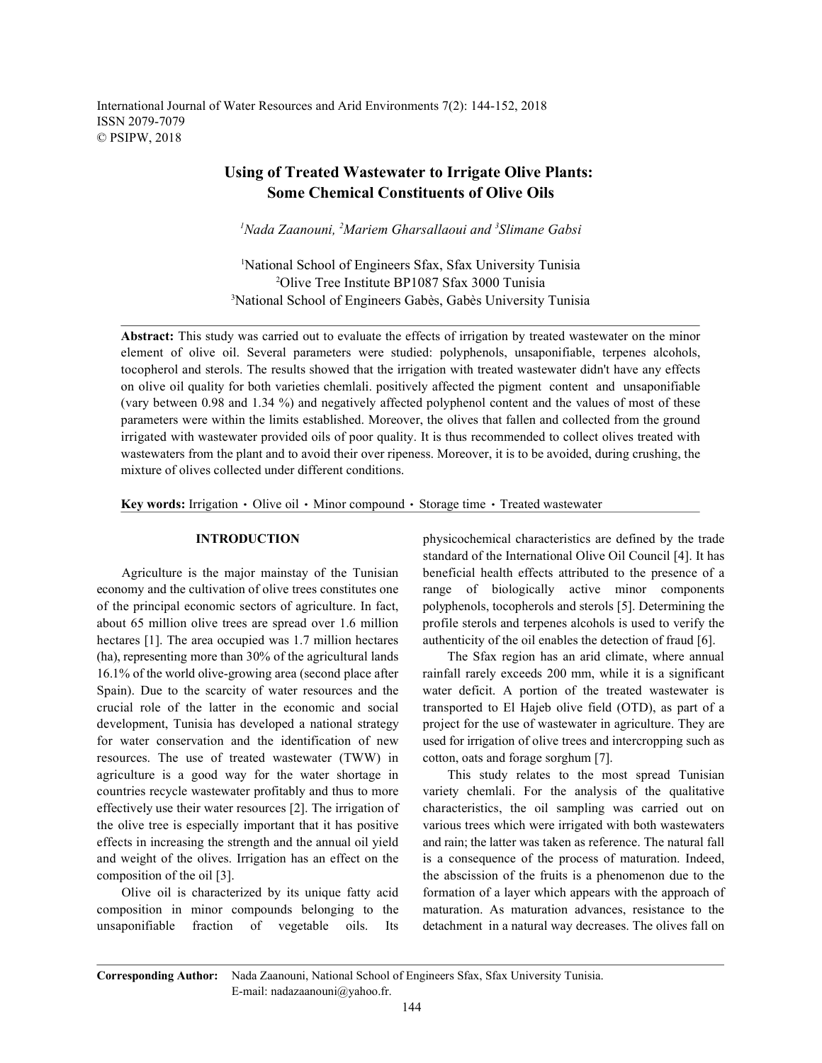International Journal of Water Resources and Arid Environments 7(2): 144-152, 2018 ISSN 2079-7079 © PSIPW, 2018

# **Using of Treated Wastewater to Irrigate Olive Plants: Some Chemical Constituents of Olive Oils**

*Nada Zaanouni, Mariem Gharsallaoui and Slimane Gabsi 1 2 <sup>3</sup>*

<sup>1</sup>National School of Engineers Sfax, Sfax University Tunisia Olive Tree Institute BP1087 Sfax 3000 Tunisia <sup>2</sup> <sup>3</sup>National School of Engineers Gabès, Gabès University Tunisia

**Abstract:** This study was carried out to evaluate the effects of irrigation by treated wastewater on the minor element of olive oil. Several parameters were studied: polyphenols, unsaponifiable, terpenes alcohols, tocopherol and sterols. The results showed that the irrigation with treated wastewater didn't have any effects on olive oil quality for both varieties chemlali. positively affected the pigment content and unsaponifiable (vary between 0.98 and 1.34 %) and negatively affected polyphenol content and the values of most of these parameters were within the limits established. Moreover, the olives that fallen and collected from the ground irrigated with wastewater provided oils of poor quality. It is thus recommended to collect olives treated with wastewaters from the plant and to avoid their over ripeness. Moreover, it is to be avoided, during crushing, the mixture of olives collected under different conditions.

**Key words:** Irrigation  $\cdot$  Olive oil  $\cdot$  Minor compound  $\cdot$  Storage time  $\cdot$  Treated wastewater

economy and the cultivation of olive trees constitutes one range of biologically active minor components of the principal economic sectors of agriculture. In fact, polyphenols, tocopherols and sterols [5]. Determining the about 65 million olive trees are spread over 1.6 million profile sterols and terpenes alcohols is used to verify the hectares [1]. The area occupied was 1.7 million hectares authenticity of the oil enables the detection of fraud [6]. (ha), representing more than 30% of the agricultural lands The Sfax region has an arid climate, where annual 16.1% of the world olive-growing area (second place after rainfall rarely exceeds 200 mm, while it is a significant Spain). Due to the scarcity of water resources and the water deficit. A portion of the treated wastewater is crucial role of the latter in the economic and social transported to El Hajeb olive field (OTD), as part of a development, Tunisia has developed a national strategy project for the use of wastewater in agriculture. They are for water conservation and the identification of new used for irrigation of olive trees and intercropping such as resources. The use of treated wastewater (TWW) in cotton, oats and forage sorghum [7]. agriculture is a good way for the water shortage in This study relates to the most spread Tunisian countries recycle wastewater profitably and thus to more variety chemlali. For the analysis of the qualitative effectively use their water resources [2]. The irrigation of characteristics, the oil sampling was carried out on the olive tree is especially important that it has positive various trees which were irrigated with both wastewaters effects in increasing the strength and the annual oil yield and rain; the latter was taken as reference. The natural fall and weight of the olives. Irrigation has an effect on the is a consequence of the process of maturation. Indeed, composition of the oil [3]. the abscission of the fruits is a phenomenon due to the

composition in minor compounds belonging to the maturation. As maturation advances, resistance to the unsaponifiable fraction of vegetable oils. Its detachment in a natural way decreases. The olives fall on

**INTRODUCTION** physicochemical characteristics are defined by the trade Agriculture is the major mainstay of the Tunisian beneficial health effects attributed to the presence of a standard of the International Olive Oil Council [4]. It has

Olive oil is characterized by its unique fatty acid formation of a layer which appears with the approach of

**Corresponding Author:** Nada Zaanouni, National School of Engineers Sfax, Sfax University Tunisia. E-mail: nadazaanouni@yahoo.fr.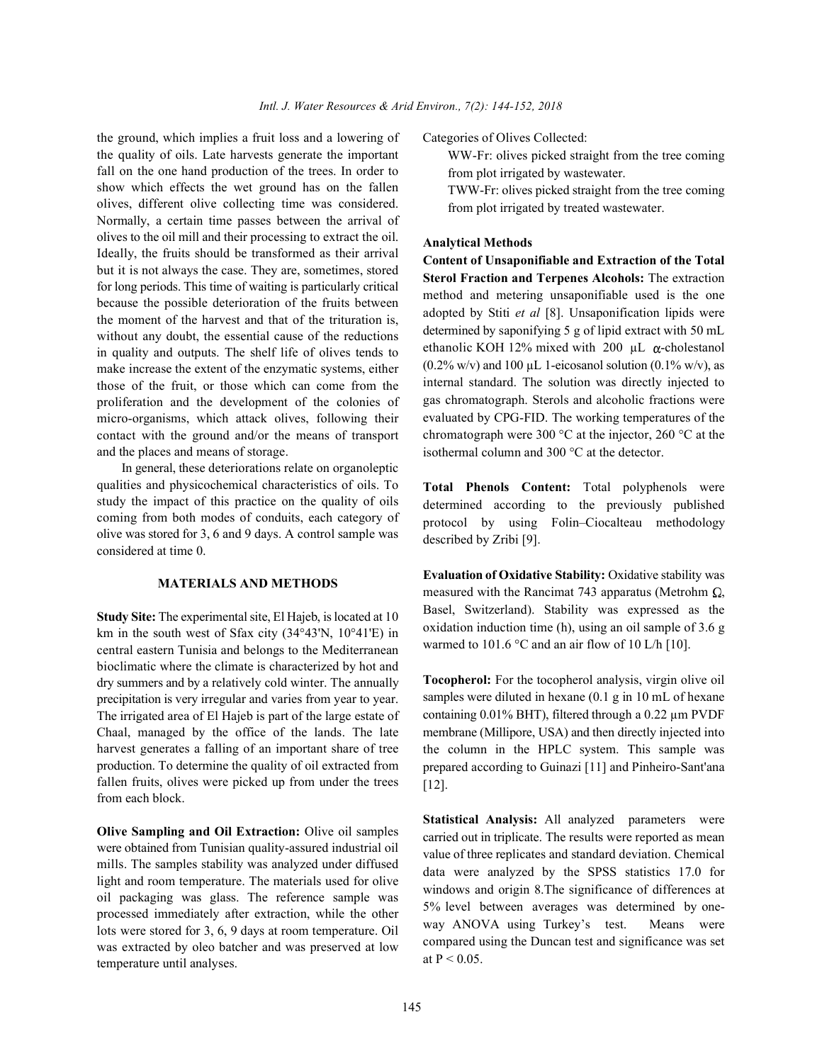the ground, which implies a fruit loss and a lowering of Categories of Olives Collected: the quality of oils. Late harvests generate the important fall on the one hand production of the trees. In order to show which effects the wet ground has on the fallen olives, different olive collecting time was considered. Normally, a certain time passes between the arrival of olives to the oil mill and their processing to extract the oil. Ideally, the fruits should be transformed as their arrival but it is not always the case. They are, sometimes, stored for long periods. This time of waiting is particularly critical because the possible deterioration of the fruits between the moment of the harvest and that of the trituration is, without any doubt, the essential cause of the reductions in quality and outputs. The shelf life of olives tends to make increase the extent of the enzymatic systems, either those of the fruit, or those which can come from the proliferation and the development of the colonies of micro-organisms, which attack olives, following their contact with the ground and/or the means of transport and the places and means of storage.

In general, these deteriorations relate on organoleptic qualities and physicochemical characteristics of oils. To study the impact of this practice on the quality of oils coming from both modes of conduits, each category of olive was stored for 3, 6 and 9 days. A control sample was considered at time 0.

## **MATERIALS AND METHODS**

**Study Site:** The experimental site, El Hajeb, is located at 10 km in the south west of Sfax city (34°43'N, 10°41'E) in central eastern Tunisia and belongs to the Mediterranean bioclimatic where the climate is characterized by hot and dry summers and by a relatively cold winter. The annually precipitation is very irregular and varies from year to year. The irrigated area of El Hajeb is part of the large estate of Chaal, managed by the office of the lands. The late harvest generates a falling of an important share of tree production. To determine the quality of oil extracted from fallen fruits, olives were picked up from under the trees from each block.

**Olive Sampling and Oil Extraction:** Olive oil samples were obtained from Tunisian quality-assured industrial oil mills. The samples stability was analyzed under diffused light and room temperature. The materials used for olive oil packaging was glass. The reference sample was processed immediately after extraction, while the other lots were stored for 3, 6, 9 days at room temperature. Oil was extracted by oleo batcher and was preserved at low temperature until analyses.

WW-Fr: olives picked straight from the tree coming from plot irrigated by wastewater.

TWW-Fr: olives picked straight from the tree coming from plot irrigated by treated wastewater.

### **Analytical Methods**

**Content of Unsaponifiable and Extraction of the Total Sterol Fraction and Terpenes Alcohols:** The extraction method and metering unsaponifiable used is the one adopted by Stiti *et al* [8]. Unsaponification lipids were determined by saponifying 5 g of lipid extract with 50 mL ethanolic KOH 12% mixed with 200  $\mu$ L  $\alpha$ -cholestanol  $(0.2\% \text{ w/v})$  and 100 µL 1-eicosanol solution  $(0.1\% \text{ w/v})$ , as internal standard. The solution was directly injected to gas chromatograph. Sterols and alcoholic fractions were evaluated by CPG-FID. The working temperatures of the chromatograph were 300 °C at the injector, 260 °C at the isothermal column and 300 °C at the detector.

**Total Phenols Content:** Total polyphenols were determined according to the previously published protocol by using Folin–Ciocalteau methodology described by Zribi [9].

**Evaluation of Oxidative Stability:** Oxidative stability was measured with the Rancimat 743 apparatus (Metrohm  $\Omega$ , Basel, Switzerland). Stability was expressed as the oxidation induction time (h), using an oil sample of 3.6 g warmed to 101.6 °C and an air flow of 10 L/h [10].

**Tocopherol:** For the tocopherol analysis, virgin olive oil samples were diluted in hexane (0.1 g in 10 mL of hexane containing 0.01% BHT), filtered through a 0.22 µm PVDF membrane (Millipore, USA) and then directly injected into the column in the HPLC system. This sample was prepared according to Guinazi [11] and Pinheiro-Sant'ana [12].

**Statistical Analysis:** All analyzed parameters were carried out in triplicate. The results were reported as mean value of three replicates and standard deviation. Chemical data were analyzed by the SPSS statistics 17.0 for windows and origin 8.The significance of differences at 5% level between averages was determined by oneway ANOVA using Turkey's test. Means were compared using the Duncan test and significance was set at  $P < 0.05$ .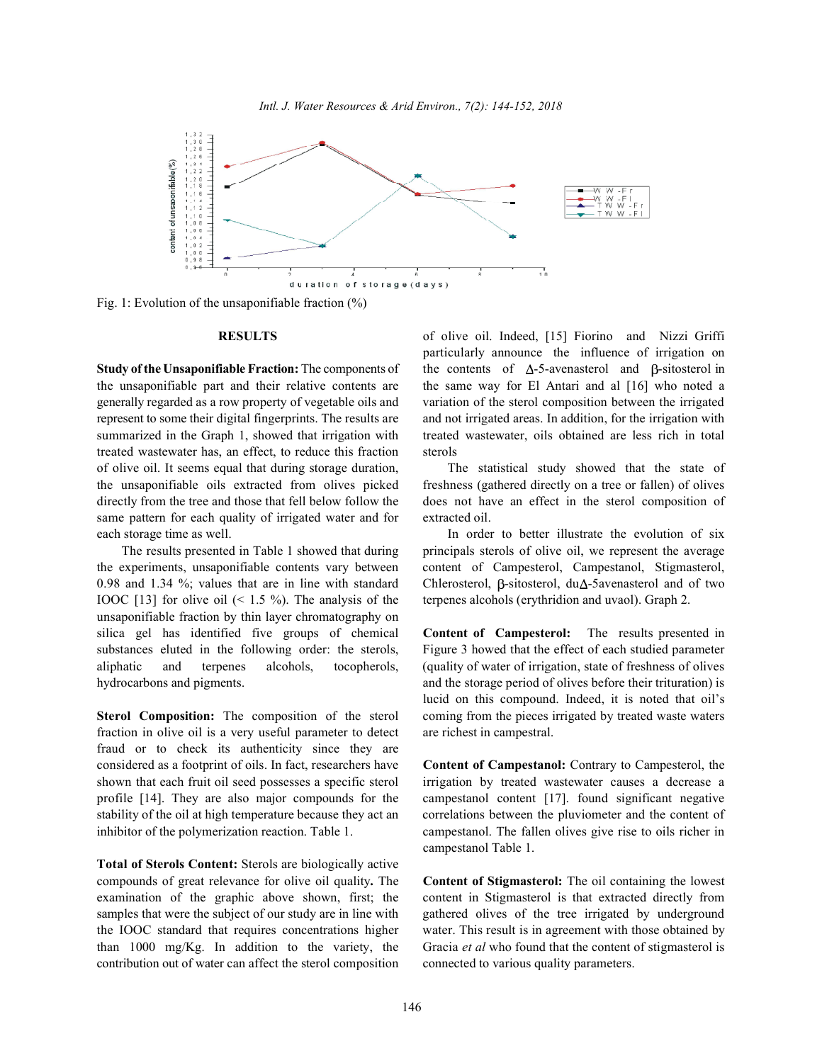

Fig. 1: Evolution of the unsaponifiable fraction (%)

the unsaponifiable part and their relative contents are the same way for El Antari and al [16] who noted a generally regarded as a row property of vegetable oils and variation of the sterol composition between the irrigated represent to some their digital fingerprints. The results are and not irrigated areas. In addition, for the irrigation with summarized in the Graph 1, showed that irrigation with treated wastewater, oils obtained are less rich in total treated wastewater has, an effect, to reduce this fraction sterols of olive oil. It seems equal that during storage duration, The statistical study showed that the state of the unsaponifiable oils extracted from olives picked freshness (gathered directly on a tree or fallen) of olives directly from the tree and those that fell below follow the does not have an effect in the sterol composition of same pattern for each quality of irrigated water and for extracted oil. each storage time as well. The storage time as well. In order to better illustrate the evolution of six

the experiments, unsaponifiable contents vary between content of Campesterol, Campestanol, Stigmasterol, 0.98 and 1.34 %; values that are in line with standard Chlerosterol,  $\beta$ -sitosterol, du $\Delta$ -5avenasterol and of two IOOC [13] for olive oil  $($  < 1.5 %). The analysis of the terpenes alcohols (erythridion and uvaol). Graph 2. unsaponifiable fraction by thin layer chromatography on silica gel has identified five groups of chemical **Content of Campesterol:** The results presented in substances eluted in the following order: the sterols, Figure 3 howed that the effect of each studied parameter aliphatic and terpenes alcohols, tocopherols, (quality of water of irrigation, state of freshness of olives hydrocarbons and pigments. and the storage period of olives before their trituration) is

fraction in olive oil is a very useful parameter to detect are richest in campestral. fraud or to check its authenticity since they are considered as a footprint of oils. In fact, researchers have **Content of Campestanol:** Contrary to Campesterol, the shown that each fruit oil seed possesses a specific sterol irrigation by treated wastewater causes a decrease a profile [14]. They are also major compounds for the campestanol content [17]. found significant negative stability of the oil at high temperature because they act an correlations between the pluviometer and the content of inhibitor of the polymerization reaction. Table 1. campestanol. The fallen olives give rise to oils richer in

**Total of Sterols Content:** Sterols are biologically active compounds of great relevance for olive oil quality**.** The **Content of Stigmasterol:** The oil containing the lowest examination of the graphic above shown, first; the content in Stigmasterol is that extracted directly from samples that were the subject of our study are in line with gathered olives of the tree irrigated by underground the IOOC standard that requires concentrations higher water. This result is in agreement with those obtained by than 1000 mg/Kg. In addition to the variety, the Gracia *et al* who found that the content of stigmasterol is contribution out of water can affect the sterol composition connected to various quality parameters.

**RESULTS** of olive oil. Indeed, [15] Fiorino and Nizzi Griffi **Study of the Unsaponifiable Fraction:** The components of the contents of  $\Delta$ -5-avenasterol and  $\beta$ -sitosterol in particularly announce the influence of irrigation on

The results presented in Table 1 showed that during principals sterols of olive oil, we represent the average

**Sterol Composition:** The composition of the sterol coming from the pieces irrigated by treated waste waters lucid on this compound. Indeed, it is noted that oil's

campestanol Table 1.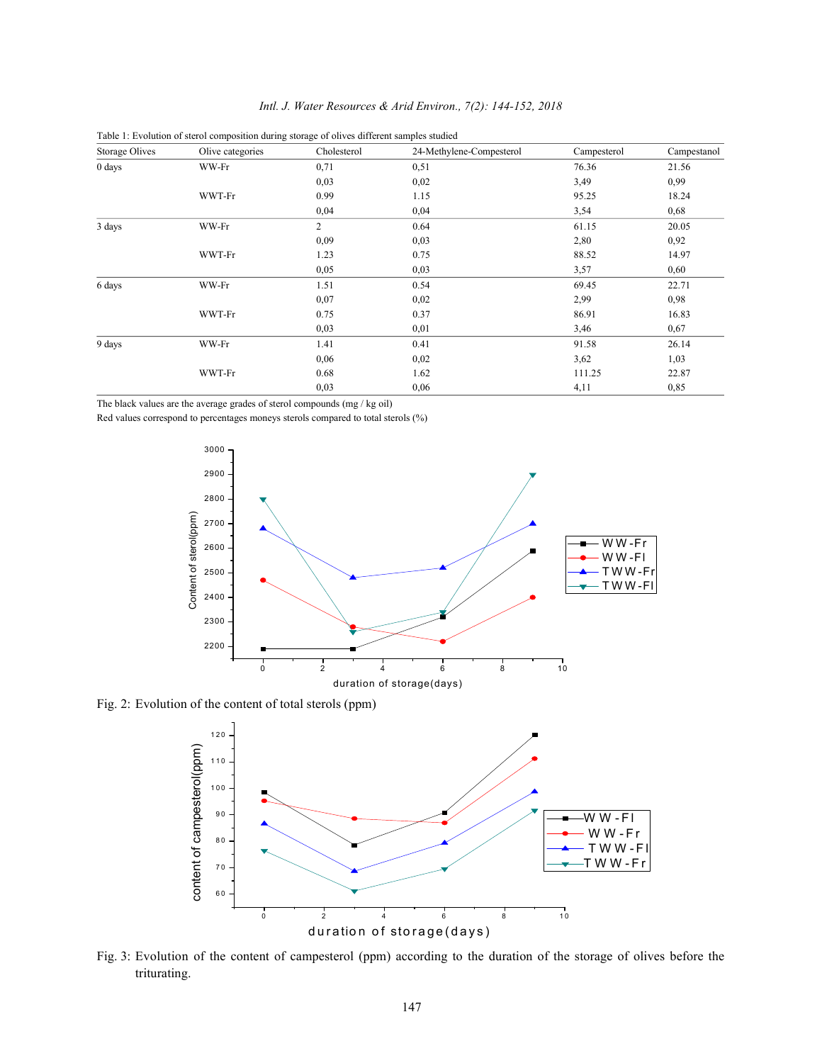|  |  | Intl. J. Water Resources & Arid Environ., 7(2): 144-152, 2018 |  |  |  |  |  |  |
|--|--|---------------------------------------------------------------|--|--|--|--|--|--|
|--|--|---------------------------------------------------------------|--|--|--|--|--|--|

| Storage Olives | Olive categories | Cholesterol    | 24-Methylene-Compesterol | Campesterol | Campestanol |
|----------------|------------------|----------------|--------------------------|-------------|-------------|
| 0 days         | WW-Fr            | 0,71           | 0,51                     | 76.36       | 21.56       |
|                |                  | 0,03           | 0,02                     | 3,49        | 0,99        |
|                | WWT-Fr           | 0.99           | 1.15                     | 95.25       | 18.24       |
|                |                  | 0,04           | 0,04                     | 3,54        | 0,68        |
| 3 days         | WW-Fr            | $\overline{2}$ | 0.64                     | 61.15       | 20.05       |
|                |                  | 0,09           | 0,03                     | 2,80        | 0,92        |
|                | WWT-Fr           | 1.23           | 0.75                     | 88.52       | 14.97       |
|                |                  | 0,05           | 0,03                     | 3,57        | 0,60        |
| 6 days         | WW-Fr            | 1.51           | 0.54                     | 69.45       | 22.71       |
|                |                  | 0,07           | 0,02                     | 2,99        | 0,98        |
|                | WWT-Fr           | 0.75           | 0.37                     | 86.91       | 16.83       |
|                |                  | 0,03           | 0,01                     | 3,46        | 0,67        |
| 9 days         | WW-Fr            | 1.41           | 0.41                     | 91.58       | 26.14       |
|                |                  | 0,06           | 0,02                     | 3,62        | 1,03        |
|                | WWT-Fr           | 0.68           | 1.62                     | 111.25      | 22.87       |
|                |                  | 0,03           | 0,06                     | 4,11        | 0,85        |

Table 1: Evolution of sterol composition during storage of olives different samples studied

The black values are the average grades of sterol compounds (mg / kg oil)

Red values correspond to percentages moneys sterols compared to total sterols (%)



Fig. 2: Evolution of the content of total sterols (ppm)



Fig. 3: Evolution of the content of campesterol (ppm) according to the duration of the storage of olives before the triturating.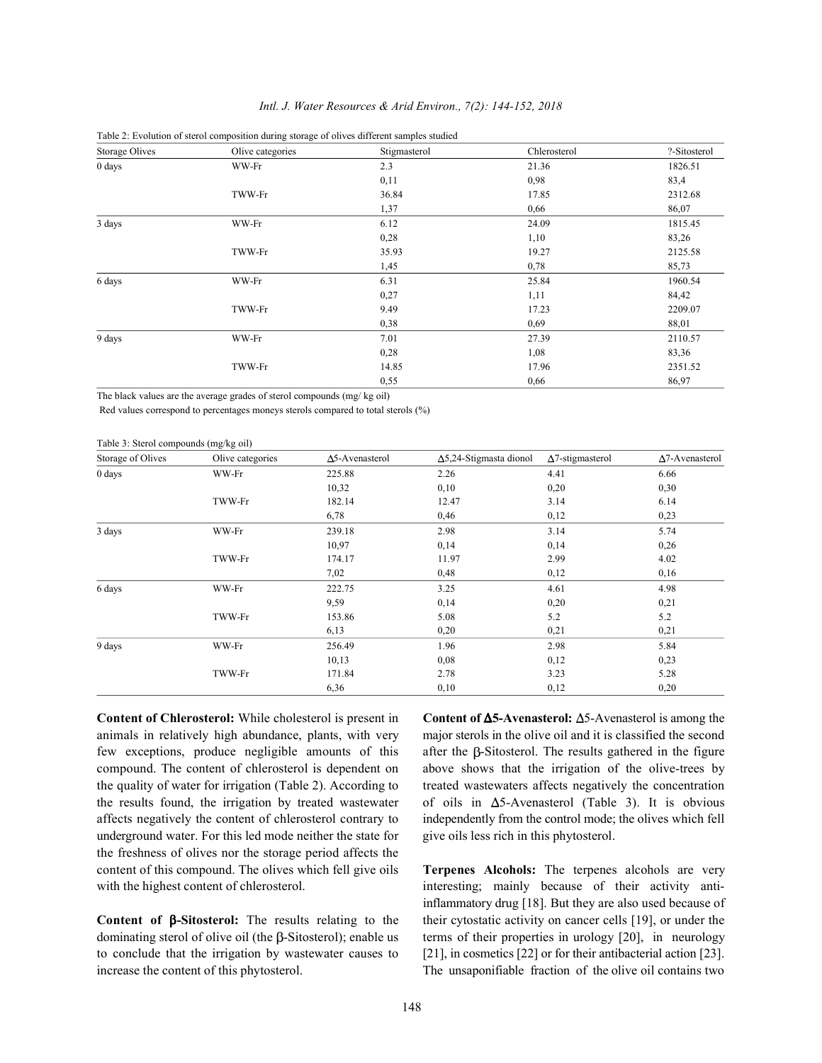| Storage Olives | Olive categories | Stigmasterol | Chlerosterol | ?-Sitosterol |
|----------------|------------------|--------------|--------------|--------------|
| 0 days         | WW-Fr            | 2.3          | 21.36        | 1826.51      |
|                |                  | 0,11         | 0.98         | 83,4         |
|                | TWW-Fr           | 36.84        | 17.85        | 2312.68      |
|                |                  | 1,37         | 0.66         | 86,07        |
| 3 days         | WW-Fr            | 6.12         | 24.09        | 1815.45      |
|                |                  | 0,28         | 1,10         | 83,26        |
|                | TWW-Fr           | 35.93        | 19.27        | 2125.58      |
|                |                  | 1,45         | 0,78         | 85,73        |
| 6 days         | WW-Fr            | 6.31         | 25.84        | 1960.54      |
|                |                  | 0,27         | 1,11         | 84,42        |
|                | TWW-Fr           | 9.49         | 17.23        | 2209.07      |
|                |                  | 0,38         | 0.69         | 88,01        |
| 9 days         | WW-Fr            | 7.01         | 27.39        | 2110.57      |
|                |                  | 0,28         | 1,08         | 83,36        |
|                | TWW-Fr           | 14.85        | 17.96        | 2351.52      |
|                |                  | 0,55         | 0,66         | 86,97        |

### *Intl. J. Water Resources & Arid Environ., 7(2): 144-152, 2018*

Table 2: Evolution of sterol composition during storage of olives different samples studied

The black values are the average grades of sterol compounds (mg/ kg oil)

Red values correspond to percentages moneys sterols compared to total sterols (%)

Table 3: Sterol compounds (mg/kg oil)

| Storage of Olives | Olive categories | $\Delta$ 5-Avenasterol | $\Delta$ 5,24-Stigmasta dionol | $\Delta$ 7-stigmasterol | $\Delta$ 7-Avenasterol |
|-------------------|------------------|------------------------|--------------------------------|-------------------------|------------------------|
| 0 days            | WW-Fr            | 225.88                 | 2.26                           | 4.41                    | 6.66                   |
|                   |                  | 10,32                  | 0,10                           | 0,20                    | 0,30                   |
|                   | TWW-Fr           | 182.14                 | 12.47                          | 3.14                    | 6.14                   |
|                   |                  | 6,78                   | 0,46                           | 0,12                    | 0,23                   |
| 3 days            | WW-Fr            | 239.18                 | 2.98                           | 3.14                    | 5.74                   |
|                   |                  | 10,97                  | 0,14                           | 0,14                    | 0,26                   |
|                   | TWW-Fr           | 174.17                 | 11.97                          | 2.99                    | 4.02                   |
|                   |                  | 7,02                   | 0,48                           | 0,12                    | 0,16                   |
| 6 days            | WW-Fr            | 222.75                 | 3.25                           | 4.61                    | 4.98                   |
|                   |                  | 9,59                   | 0,14                           | 0,20                    | 0,21                   |
|                   | TWW-Fr           | 153.86                 | 5.08                           | 5.2                     | 5.2                    |
|                   |                  | 6,13                   | 0,20                           | 0,21                    | 0,21                   |
| 9 days            | WW-Fr            | 256.49                 | 1.96                           | 2.98                    | 5.84                   |
|                   |                  | 10,13                  | 0,08                           | 0,12                    | 0,23                   |
|                   | TWW-Fr           | 171.84                 | 2.78                           | 3.23                    | 5.28                   |
|                   |                  | 6,36                   | 0,10                           | 0,12                    | 0,20                   |

animals in relatively high abundance, plants, with very major sterols in the olive oil and it is classified the second few exceptions, produce negligible amounts of this after the  $\beta$ -Sitosterol. The results gathered in the figure compound. The content of chlerosterol is dependent on above shows that the irrigation of the olive-trees by the quality of water for irrigation (Table 2). According to treated wastewaters affects negatively the concentration the results found, the irrigation by treated wastewater of oils in  $\Delta$ 5-Avenasterol (Table 3). It is obvious affects negatively the content of chlerosterol contrary to independently from the control mode; the olives which fell underground water. For this led mode neither the state for give oils less rich in this phytosterol. the freshness of olives nor the storage period affects the content of this compound. The olives which fell give oils **Terpenes Alcohols:** The terpenes alcohols are very with the highest content of chlerosterol. interesting; mainly because of their activity anti-

to conclude that the irrigation by wastewater causes to [21], in cosmetics [22] or for their antibacterial action [23]. increase the content of this phytosterol. The unsaponifiable fraction of the olive oil contains two

**Content of Chlerosterol:** While cholesterol is present in **Content of Δ5-Avenasterol:** Δ5-Avenasterol is among the

**Content of -Sitosterol:** The results relating to the their cytostatic activity on cancer cells [19], or under the dominating sterol of olive oil (the  $\beta$ -Sitosterol); enable us terms of their properties in urology [20], in neurology inflammatory drug [18]. But they are also used because of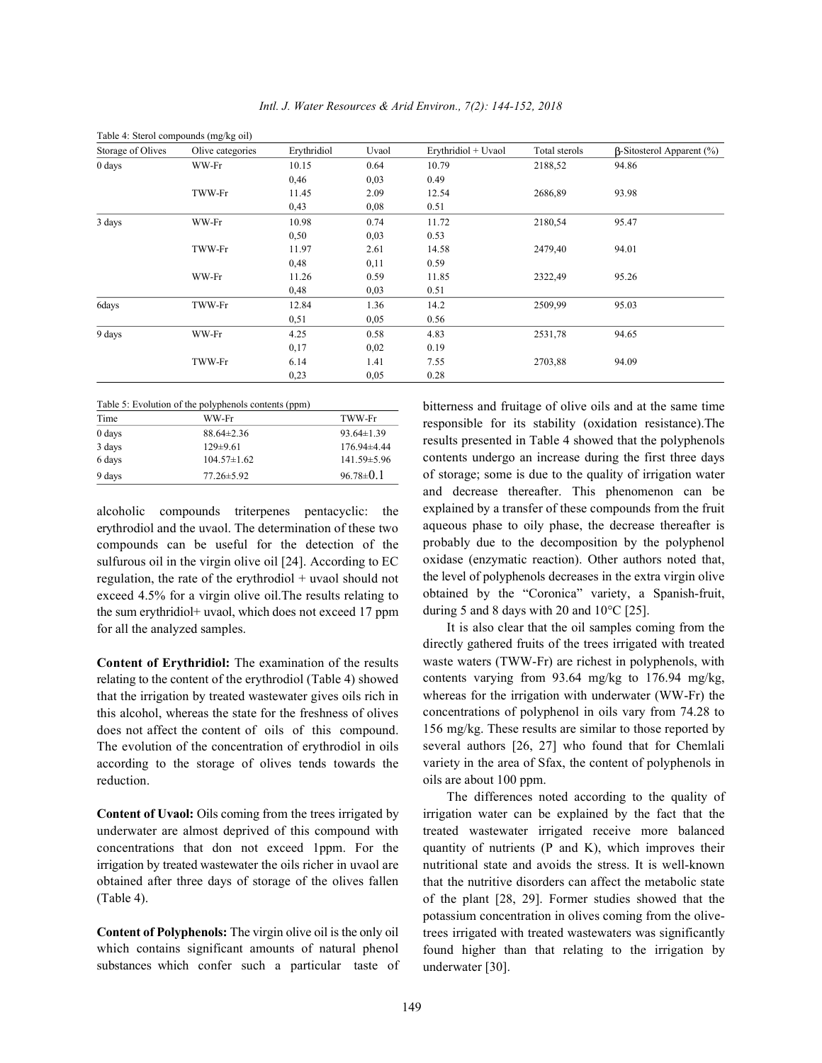| Table 4: Sterol compounds (mg/kg oil) |                  |             |       |                     |               |                                  |  |
|---------------------------------------|------------------|-------------|-------|---------------------|---------------|----------------------------------|--|
| Storage of Olives                     | Olive categories | Erythridiol | Uvaol | Erythridiol + Uvaol | Total sterols | $\beta$ -Sitosterol Apparent (%) |  |
| $0 \text{ days}$                      | WW-Fr            | 10.15       | 0.64  | 10.79               | 2188,52       | 94.86                            |  |
|                                       |                  | 0,46        | 0,03  | 0.49                |               |                                  |  |
|                                       | TWW-Fr           | 11.45       | 2.09  | 12.54               | 2686,89       | 93.98                            |  |
|                                       |                  | 0,43        | 0,08  | 0.51                |               |                                  |  |
| 3 days                                | WW-Fr            | 10.98       | 0.74  | 11.72               | 2180,54       | 95.47                            |  |
|                                       |                  | 0,50        | 0,03  | 0.53                |               |                                  |  |
|                                       | TWW-Fr           | 11.97       | 2.61  | 14.58               | 2479,40       | 94.01                            |  |
|                                       |                  | 0,48        | 0,11  | 0.59                |               |                                  |  |
|                                       | WW-Fr            | 11.26       | 0.59  | 11.85               | 2322,49       | 95.26                            |  |
|                                       |                  | 0,48        | 0,03  | 0.51                |               |                                  |  |
| 6days                                 | TWW-Fr           | 12.84       | 1.36  | 14.2                | 2509,99       | 95.03                            |  |
|                                       |                  | 0,51        | 0,05  | 0.56                |               |                                  |  |
| 9 days                                | WW-Fr            | 4.25        | 0.58  | 4.83                | 2531,78       | 94.65                            |  |
|                                       |                  | 0,17        | 0,02  | 0.19                |               |                                  |  |
|                                       | TWW-Fr           | 6.14        | 1.41  | 7.55                | 2703,88       | 94.09                            |  |
|                                       |                  | 0,23        | 0,05  | 0.28                |               |                                  |  |

|      | Table 5: Evolution of the polyphenols contents (ppm) |               |
|------|------------------------------------------------------|---------------|
| Time | WW-Fr                                                | <b>TWW-Fr</b> |

| 0 days | $88.64 \pm 2.36$ | $93.64 \pm 1.39$  |
|--------|------------------|-------------------|
| 3 days | $129\pm9.61$     | $176.94\pm4.44$   |
| 6 days | $104.57\pm1.62$  | $141.59 \pm 5.96$ |
| 9 days | $77.26 \pm 5.92$ | $96.78 \pm 0.1$   |

alcoholic compounds triterpenes pentacyclic: the erythrodiol and the uvaol. The determination of these two compounds can be useful for the detection of the sulfurous oil in the virgin olive oil [24]. According to EC regulation, the rate of the erythrodiol + uvaol should not exceed 4.5% for a virgin olive oil.The results relating to the sum erythridiol+ uvaol, which does not exceed 17 ppm for all the analyzed samples.

**Content of Erythridiol:** The examination of the results relating to the content of the erythrodiol (Table 4) showed that the irrigation by treated wastewater gives oils rich in this alcohol, whereas the state for the freshness of olives does not affect the content of oils of this compound. The evolution of the concentration of erythrodiol in oils according to the storage of olives tends towards the reduction.

**Content of Uvaol:** Oils coming from the trees irrigated by underwater are almost deprived of this compound with concentrations that don not exceed 1ppm. For the irrigation by treated wastewater the oils richer in uvaol are obtained after three days of storage of the olives fallen (Table 4).

**Content of Polyphenols:** The virgin olive oil is the only oil which contains significant amounts of natural phenol substances which confer such a particular taste of bitterness and fruitage of olive oils and at the same time responsible for its stability (oxidation resistance).The results presented in Table 4 showed that the polyphenols contents undergo an increase during the first three days of storage; some is due to the quality of irrigation water and decrease thereafter. This phenomenon can be explained by a transfer of these compounds from the fruit aqueous phase to oily phase, the decrease thereafter is probably due to the decomposition by the polyphenol oxidase (enzymatic reaction). Other authors noted that, the level of polyphenols decreases in the extra virgin olive obtained by the "Coronica" variety, a Spanish-fruit, during 5 and 8 days with 20 and 10°C [25].

It is also clear that the oil samples coming from the directly gathered fruits of the trees irrigated with treated waste waters (TWW-Fr) are richest in polyphenols, with contents varying from 93.64 mg/kg to 176.94 mg/kg, whereas for the irrigation with underwater (WW-Fr) the concentrations of polyphenol in oils vary from 74.28 to 156 mg/kg. These results are similar to those reported by several authors [26, 27] who found that for Chemlali variety in the area of Sfax, the content of polyphenols in oils are about 100 ppm.

The differences noted according to the quality of irrigation water can be explained by the fact that the treated wastewater irrigated receive more balanced quantity of nutrients (P and K), which improves their nutritional state and avoids the stress. It is well-known that the nutritive disorders can affect the metabolic state of the plant [28, 29]. Former studies showed that the potassium concentration in olives coming from the olivetrees irrigated with treated wastewaters was significantly found higher than that relating to the irrigation by underwater [30].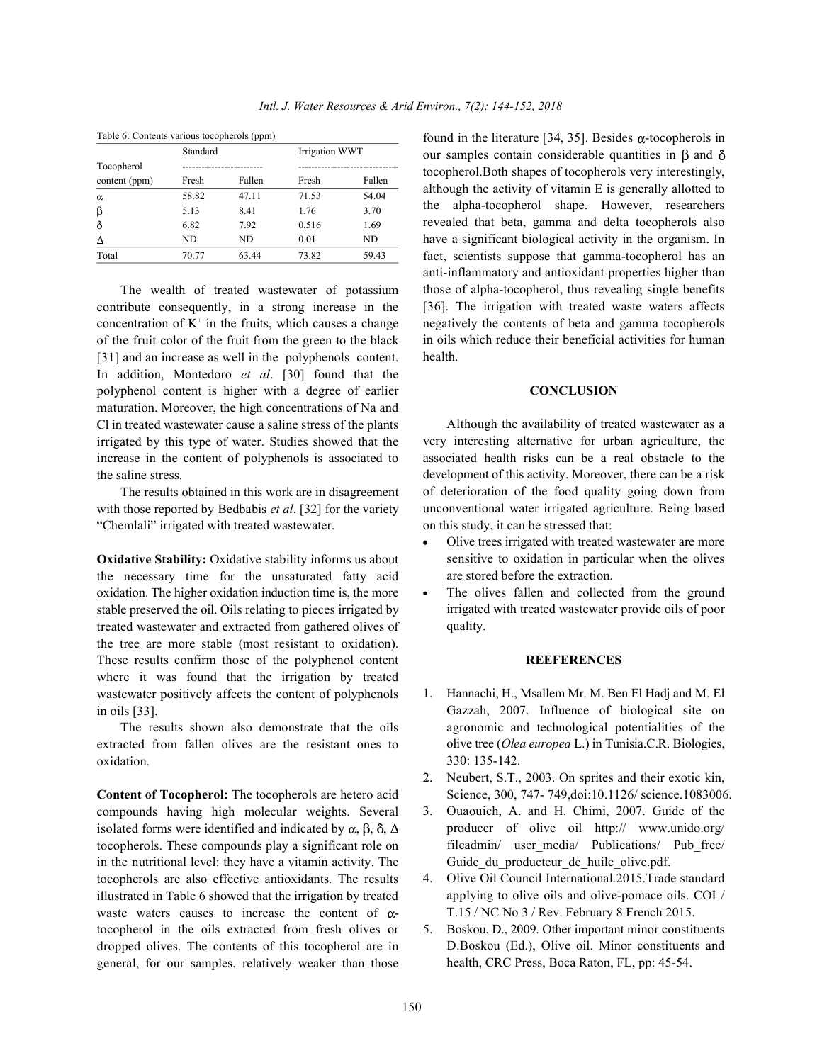| Table 6: Contents various tocopherols (ppm) |          |        |       |                |  |  |  |
|---------------------------------------------|----------|--------|-------|----------------|--|--|--|
|                                             | Standard |        |       | Irrigation WWT |  |  |  |
| Tocopherol                                  |          |        |       |                |  |  |  |
| content (ppm)                               | Fresh    | Fallen | Fresh | Fallen         |  |  |  |
| α                                           | 58.82    | 47.11  | 71.53 | 54.04          |  |  |  |
| β                                           | 5.13     | 8.41   | 1.76  | 3.70           |  |  |  |
| ô                                           | 6.82     | 7.92   | 0.516 | 1.69           |  |  |  |
| Δ                                           | ND.      | ND.    | 0.01  | ND             |  |  |  |
| Total                                       | 70.77    | 63.44  | 73.82 | 59.43          |  |  |  |
|                                             |          |        |       |                |  |  |  |

The wealth of treated wastewater of potassium contribute consequently, in a strong increase in the concentration of  $K^+$  in the fruits, which causes a change of the fruit color of the fruit from the green to the black [31] and an increase as well in the polyphenols content. In addition, Montedoro *et al*. [30] found that the polyphenol content is higher with a degree of earlier maturation. Moreover, the high concentrations of Na and Cl in treated wastewater cause a saline stress of the plants irrigated by this type of water. Studies showed that the increase in the content of polyphenols is associated to the saline stress.

The results obtained in this work are in disagreement with those reported by Bedbabis *et al*. [32] for the variety "Chemlali" irrigated with treated wastewater.

**Oxidative Stability:** Oxidative stability informs us about the necessary time for the unsaturated fatty acid oxidation. The higher oxidation induction time is, the more stable preserved the oil. Oils relating to pieces irrigated by treated wastewater and extracted from gathered olives of the tree are more stable (most resistant to oxidation). These results confirm those of the polyphenol content where it was found that the irrigation by treated wastewater positively affects the content of polyphenols in oils [33].

The results shown also demonstrate that the oils extracted from fallen olives are the resistant ones to oxidation.

**Content of Tocopherol:** The tocopherols are hetero acid compounds having high molecular weights. Several isolated forms were identified and indicated by  $\alpha$ ,  $\beta$ ,  $\delta$ ,  $\Delta$ tocopherols. These compounds play a significant role on in the nutritional level: they have a vitamin activity. The tocopherols are also effective antioxidants. The results illustrated in Table 6 showed that the irrigation by treated waste waters causes to increase the content of  $\alpha$ tocopherol in the oils extracted from fresh olives or dropped olives. The contents of this tocopherol are in general, for our samples, relatively weaker than those

found in the literature [34, 35]. Besides  $\alpha$ -tocopherols in our samples contain considerable quantities in  $\beta$  and  $\delta$ tocopherol.Both shapes of tocopherols very interestingly, although the activity of vitamin E is generally allotted to the alpha-tocopherol shape. However, researchers revealed that beta, gamma and delta tocopherols also have a significant biological activity in the organism. In fact, scientists suppose that gamma-tocopherol has an anti-inflammatory and antioxidant properties higher than those of alpha-tocopherol, thus revealing single benefits [36]. The irrigation with treated waste waters affects negatively the contents of beta and gamma tocopherols in oils which reduce their beneficial activities for human health.

### **CONCLUSION**

Although the availability of treated wastewater as a very interesting alternative for urban agriculture, the associated health risks can be a real obstacle to the development of this activity. Moreover, there can be a risk of deterioration of the food quality going down from unconventional water irrigated agriculture. Being based on this study, it can be stressed that:

- Olive trees irrigated with treated wastewater are more sensitive to oxidation in particular when the olives are stored before the extraction.
- The olives fallen and collected from the ground irrigated with treated wastewater provide oils of poor quality.

### **REEFERENCES**

- 1. Hannachi, H., Msallem Mr. M. Ben El Hadj and M. El Gazzah, 2007. Influence of biological site on agronomic and technological potentialities of the olive tree (*Olea europea* L.) in Tunisia.C.R. Biologies, 330: 135-142.
- 2. Neubert, S.T., 2003. On sprites and their exotic kin, Science, 300, 747- 749,doi:10.1126/ science.1083006.
- 3. Ouaouich, A. and H. Chimi, 2007. Guide of the producer of olive oil http:// www.unido.org/ fileadmin/ user media/ Publications/ Pub free/ Guide du producteur de huile olive.pdf.
- 4. Olive Oil Council International.2015.Trade standard applying to olive oils and olive-pomace oils. COI / T.15 / NC No 3 / Rev. February 8 French 2015.
- 5. Boskou, D., 2009. Other important minor constituents D.Boskou (Ed.), Olive oil. Minor constituents and health, CRC Press, Boca Raton, FL, pp: 45-54.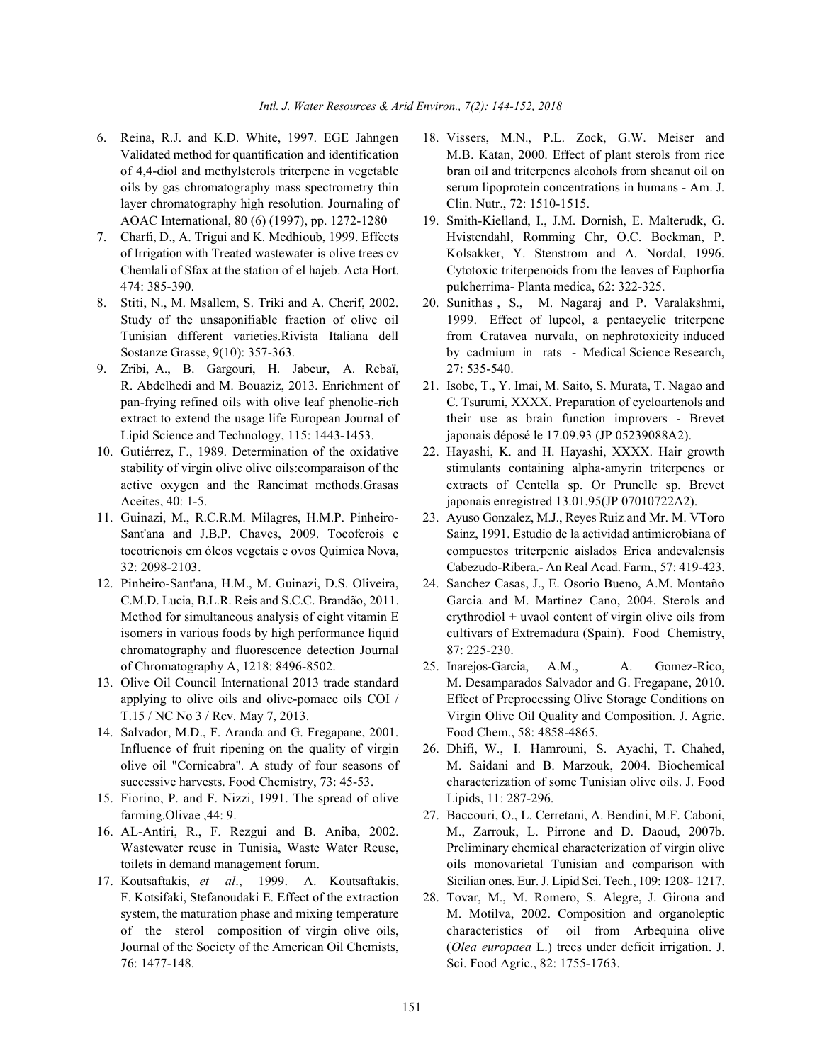- layer chromatography high resolution. Journaling of Clin. Nutr., 72: 1510-1515. AOAC International, 80 (6) (1997), pp. 1272-1280 19. Smith-Kielland, I., J.M. Dornish, E. Malterudk, G.
- 474: 385-390. pulcherrima- Planta medica, 62: 322-325.
- 8. Stiti, N., M. Msallem, S. Triki and A. Cherif, 2002. 20. Sunithas , S., M. Nagaraj and P. Varalakshmi,
- 9. Zribi, A., B. Gargouri, H. Jabeur, A. Rebaï, 27: 535-540. R. Abdelhedi and M. Bouaziz, 2013. Enrichment of 21. Isobe, T., Y. Imai, M. Saito, S. Murata, T. Nagao and Lipid Science and Technology, 115: 1443-1453. japonais déposé le 17.09.93 (JP 05239088A2).
- Aceites, 40: 1-5. japonais enregistred 13.01.95(JP 07010722A2).
- 
- chromatography and fluorescence detection Journal 87: 225-230. of Chromatography A, 1218: 8496-8502. 25. Inarejos-Garcia, A.M., A. Gomez-Rico,
- 
- 14. Salvador, M.D., F. Aranda and G. Fregapane, 2001. Food Chem., 58: 4858-4865.
- 15. Fiorino, P. and F. Nizzi, 1991. The spread of olive Lipids, 11: 287-296. farming.Olivae ,44: 9. 27. Baccouri, O., L. Cerretani, A. Bendini, M.F. Caboni,
- 
- 76: 1477-148. Sci. Food Agric., 82: 1755-1763.
- 6. Reina, R.J. and K.D. White, 1997. EGE Jahngen 18. Vissers, M.N., P.L. Zock, G.W. Meiser and Validated method for quantification and identification M.B. Katan, 2000. Effect of plant sterols from rice of 4,4-diol and methylsterols triterpene in vegetable bran oil and triterpenes alcohols from sheanut oil on oils by gas chromatography mass spectrometry thin serum lipoprotein concentrations in humans - Am. J.
- 7. Charfi, D., A. Trigui and K. Medhioub, 1999. Effects Hvistendahl, Romming Chr, O.C. Bockman, P. of Irrigation with Treated wastewater is olive trees cv Kolsakker, Y. Stenstrom and A. Nordal, 1996. Chemlali of Sfax at the station of el hajeb. Acta Hort. Cytotoxic triterpenoids from the leaves of Euphorfia
	- Study of the unsaponifiable fraction of olive oil 1999. Effect of lupeol, a pentacyclic triterpene Tunisian different varieties.Rivista Italiana dell from Cratavea nurvala, on nephrotoxicity induced Sostanze Grasse, 9(10): 357-363. by cadmium in rats - Medical Science Research,
	- pan-frying refined oils with olive leaf phenolic-rich C. Tsurumi, XXXX. Preparation of cycloartenols and extract to extend the usage life European Journal of their use as brain function improvers - Brevet
- 10. Gutiérrez, F., 1989. Determination of the oxidative 22. Hayashi, K. and H. Hayashi, XXXX. Hair growth stability of virgin olive oils: comparaison of the stimulants containing alpha-amyrin triterpenes or active oxygen and the Rancimat methods.Grasas extracts of Centella sp. Or Prunelle sp. Brevet
- 11. Guinazi, M., R.C.R.M. Milagres, H.M.P. Pinheiro- 23. Ayuso Gonzalez, M.J., Reyes Ruiz and Mr. M. VToro Sant'ana and J.B.P. Chaves, 2009. Tocoferois e Sainz, 1991. Estudio de la actividad antimicrobiana of tocotrienois em óleos vegetais e ovos Quimica Nova, compuestos triterpenic aislados Erica andevalensis 32: 2098-2103. Cabezudo-Ribera.- An Real Acad. Farm., 57: 419-423.
- 12. Pinheiro-Sant'ana, H.M., M. Guinazi, D.S. Oliveira, 24. Sanchez Casas, J., E. Osorio Bueno, A.M. Montaño C.M.D. Lucia, B.L.R. Reis and S.C.C. Brandão, 2011. Garcia and M. Martinez Cano, 2004. Sterols and Method for simultaneous analysis of eight vitamin  $E$  erythrodiol + uvaol content of virgin olive oils from isomers in various foods by high performance liquid cultivars of Extremadura (Spain). Food Chemistry,
- 13. Olive Oil Council International 2013 trade standard M. Desamparados Salvador and G. Fregapane, 2010. applying to olive oils and olive-pomace oils COI / Effect of Preprocessing Olive Storage Conditions on T.15 / NC No 3 / Rev. May 7, 2013. Virgin Olive Oil Quality and Composition. J. Agric.
	- Influence of fruit ripening on the quality of virgin 26. Dhifi, W., I. Hamrouni, S. Ayachi, T. Chahed, olive oil "Cornicabra". A study of four seasons of M. Saidani and B. Marzouk, 2004. Biochemical successive harvests. Food Chemistry, 73: 45-53. characterization of some Tunisian olive oils. J. Food
- 16. AL-Antiri, R., F. Rezgui and B. Aniba, 2002. M., Zarrouk, L. Pirrone and D. Daoud, 2007b. Wastewater reuse in Tunisia, Waste Water Reuse, Preliminary chemical characterization of virgin olive toilets in demand management forum. oils monovarietal Tunisian and comparison with 17. Koutsaftakis, et al., 1999. A. Koutsaftakis, Sicilian ones. Eur. J. Lipid Sci. Tech., 109: 1208- 1217.
	- F. Kotsifaki, Stefanoudaki E. Effect of the extraction 28. Tovar, M., M. Romero, S. Alegre, J. Girona and system, the maturation phase and mixing temperature M. Motilva, 2002. Composition and organoleptic of the sterol composition of virgin olive oils, characteristics of oil from Arbequina olive Journal of the Society of the American Oil Chemists, (*Olea europaea* L.) trees under deficit irrigation. J.